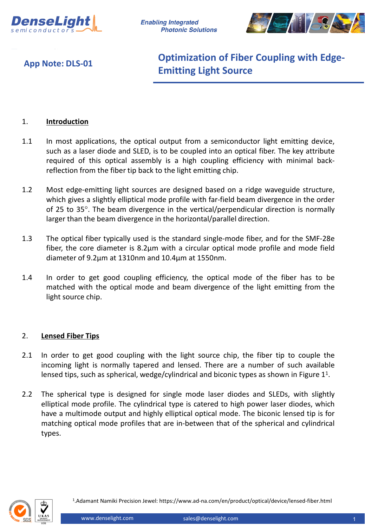

**Enabling Integrated Photonic Solutions** 



**App Note: DLS-01**

**Optimization of Fiber Coupling with Edge-Emitting Light Source**

## 1. **Introduction**

- 1.1 In most applications, the optical output from a semiconductor light emitting device, such as a laser diode and SLED, is to be coupled into an optical fiber. The key attribute required of this optical assembly is a high coupling efficiency with minimal backreflection from the fiber tip back to the light emitting chip.
- 1.2 Most edge-emitting light sources are designed based on a ridge waveguide structure, which gives a slightly elliptical mode profile with far-field beam divergence in the order of 25 to 35°. The beam divergence in the vertical/perpendicular direction is normally larger than the beam divergence in the horizontal/parallel direction.
- 1.3 The optical fiber typically used is the standard single-mode fiber, and for the SMF-28e fiber, the core diameter is 8.2µm with a circular optical mode profile and mode field diameter of 9.2µm at 1310nm and 10.4µm at 1550nm.
- 1.4 In order to get good coupling efficiency, the optical mode of the fiber has to be matched with the optical mode and beam divergence of the light emitting from the light source chip.

## 2. **Lensed Fiber Tips**

- 2.1 In order to get good coupling with the light source chip, the fiber tip to couple the incoming light is normally tapered and lensed. There are a number of such available lensed tips, such as spherical, wedge/cylindrical and biconic types as shown in Figure  $1<sup>1</sup>$ .
- 2.2 The spherical type is designed for single mode laser diodes and SLEDs, with slightly elliptical mode profile. The cylindrical type is catered to high power laser diodes, which have a multimode output and highly elliptical optical mode. The biconic lensed tip is for matching optical mode profiles that are in-between that of the spherical and cylindrical types.

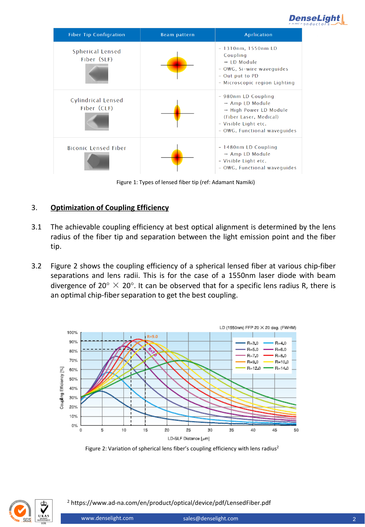



Figure 1: Types of lensed fiber tip (ref: Adamant Namiki)

## 3. **Optimization of Coupling Efficiency**

- 3.1 The achievable coupling efficiency at best optical alignment is determined by the lens radius of the fiber tip and separation between the light emission point and the fiber tip.
- 3.2 Figure 2 shows the coupling efficiency of a spherical lensed fiber at various chip-fiber separations and lens radii. This is for the case of a 1550nm laser diode with beam divergence of 20°  $\times$  20°. It can be observed that for a specific lens radius R, there is an optimal chip-fiber separation to get the best coupling.



Figure 2: Variation of spherical lens fiber's coupling efficiency with lens radius<sup>2</sup>



<sup>2</sup> https://www.ad-na.com/en/product/optical/device/pdf/LensedFiber.pdf